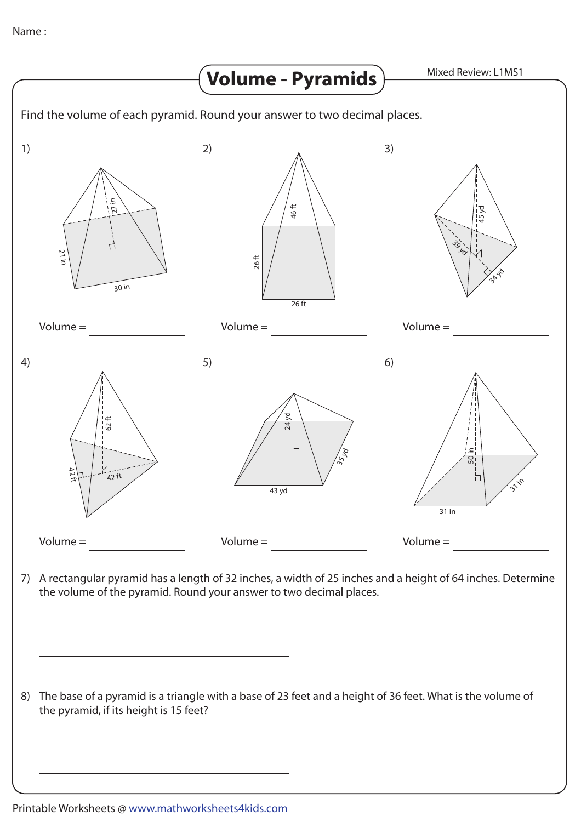

7) A rectangular pyramid has a length of 32 inches, a width of 25 inches and a height of 64 inches. Determine the volume of the pyramid. Round your answer to two decimal places.

8) The base of a pyramid is a triangle with a base of 23 feet and a height of 36 feet. What is the volume of the pyramid, if its height is 15 feet?

Printable Worksheets @ www.mathworksheets4kids.com